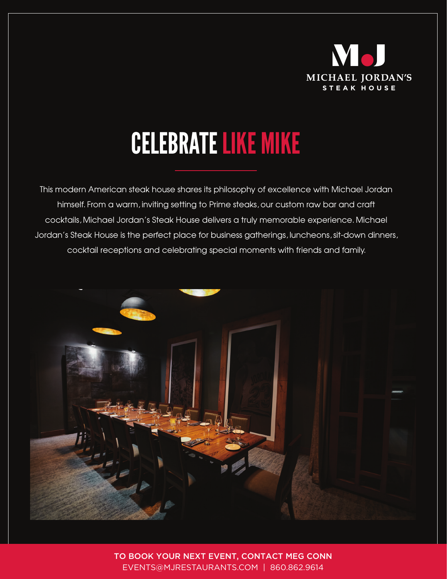

## CELEBRATE LIKE MIKE

This modern American steak house shares its philosophy of excellence with Michael Jordan himself. From a warm, inviting setting to Prime steaks, our custom raw bar and craft cocktails, Michael Jordan's Steak House delivers a truly memorable experience. Michael Jordan's Steak House is the perfect place for business gatherings, luncheons, sit-down dinners, cocktail receptions and celebrating special moments with friends and family.



TO BOOK YOUR NEXT EVENT, CONTACT MEG CONN EVENTS@MJRESTAURANTS.COM | 860.862.9614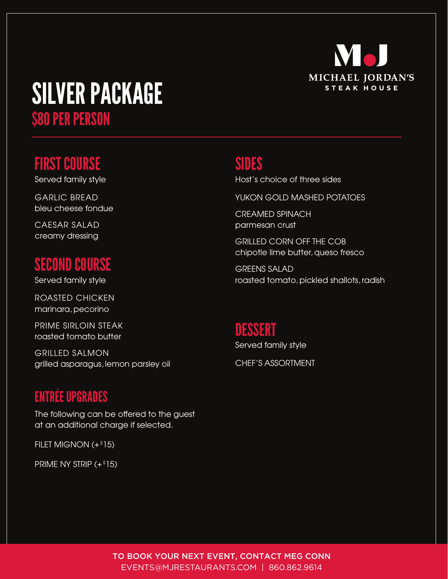

# SILVER PACKAGE

\$80 PER PERSON

#### FIRST COURSE

Served family style

GARLIC BREAD bleu cheese fondue

CAESAR SALAD creamy dressing

#### SECOND COURSE

Served family style

ROASTED CHICKEN marinara, pecorino

PRIME SIRLOIN STEAK roasted tomato butter

GRILLED SALMON grilled asparagus, lemon parsley oil

#### ENTRÉE UPGRADES

The following can be offered to the guest at an additional charge if selected.

FILET MIGNON (+\$ 15)

PRIME NY STRIP  $(+$  $15)$ 

#### SIDES

Host's choice of three sides

YUKON GOLD MASHED POTATOES

CREAMED SPINACH parmesan crust

GRILLED CORN OFF THE COB chipotle lime butter, queso fresco

GREENS SALAD roasted tomato, pickled shallots, radish

#### DESSERT

Served family style CHEF'S ASSORTMENT

TO BOOK YOUR NEXT EVENT, CONTACT MEG CONN EVENTS@MJRESTAURANTS.COM | 860.862.9614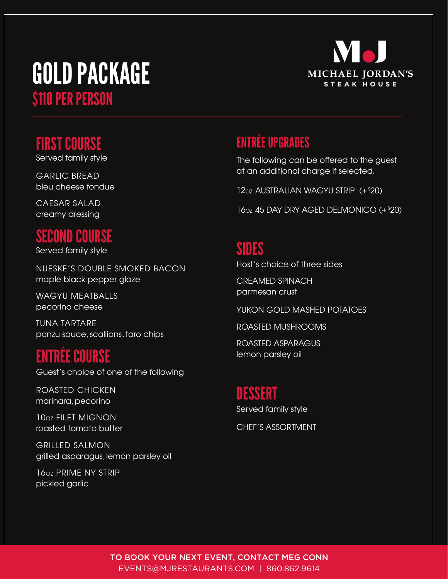### GOLD PACKAGE \$110 PER PERSON



#### FIRST COURSE

Served family style

GARLIC BREAD bleu cheese fondue

CAESAR SALAD creamy dressing

#### SECOND COURSE

Served family style

NUESKE'S DOUBLE SMOKED BACON maple black pepper glaze

WAGYU MEATBALLS pecorino cheese

TUNA TARTARE ponzu sauce, scallions, taro chips

#### ENTRÉE COURSE

Guest's choice of one of the following

ROASTED CHICKEN marinara, pecorino

10oz FILET MIGNON roasted tomato butter

GRILLED SALMON grilled asparagus, lemon parsley oil

16oz PRIME NY STRIP pickled garlic

#### ENTRÉE UPGRADES

The following can be offered to the guest at an additional charge if selected.

12oz AUSTRALIAN WAGYU STRIP (+ \$20)

16oz 45 DAY DRY AGED DELMONICO (+ \$20)

#### SIDES

Host's choice of three sides

CREAMED SPINACH parmesan crust

YUKON GOLD MASHED POTATOES

ROASTED MUSHROOMS

ROASTED ASPARAGUS lemon parsley oil

#### DESSERT

Served family style

CHEF'S ASSORTMENT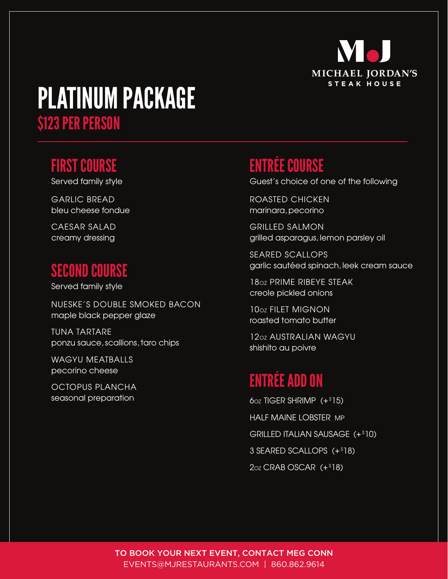

## PLATINUM PACKAGE \$123 PER PERSON

#### FIRST COURSE

Served family style

GARLIC BREAD bleu cheese fondue

CAESAR SALAD creamy dressing

#### SECOND COURSE

Served family style

NUESKE'S DOUBLE SMOKED BACON maple black pepper glaze

TUNA TARTARE ponzu sauce, scallions, taro chips

WAGYU MEATBALLS pecorino cheese

OCTOPUS PLANCHA seasonal preparation

#### ENTRÉE COURSE

Guest's choice of one of the following

ROASTED CHICKEN marinara, pecorino

GRILLED SALMON grilled asparagus, lemon parsley oil

SEARED SCALLOPS garlic sautéed spinach, leek cream sauce

18OZ PRIME RIBEYE STEAK creole pickled onions

10oz FILET MIGNON roasted tomato butter

12OZ AUSTRALIAN WAGYU shishito au poivre

#### ENTRÉE ADD ON

 $60z$  TIGER SHRIMP  $(+$ \$15) HALF MAINE LOBSTER MP GRILLED ITALIAN SAUSAGE (+\$10) 3 SEARED SCALLOPS (+\$18)  $2oz CRAB$  OSCAR  $(+$ <sup>\$18</sup>)